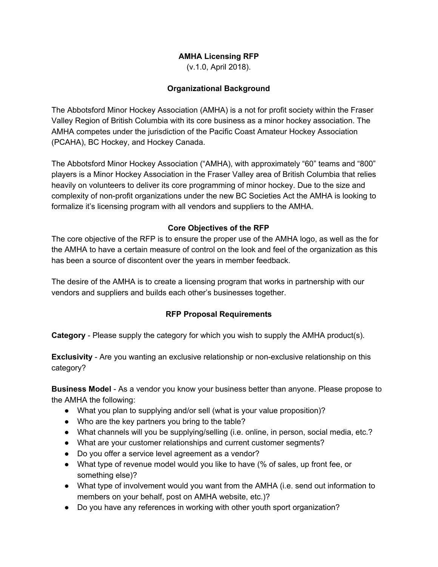# **AMHA Licensing RFP**

(v.1.0, April 2018).

# **Organizational Background**

The Abbotsford Minor Hockey Association (AMHA) is a not for profit society within the Fraser Valley Region of British Columbia with its core business as a minor hockey association. The AMHA competes under the jurisdiction of the Pacific Coast Amateur Hockey Association (PCAHA), BC Hockey, and Hockey Canada.

The Abbotsford Minor Hockey Association ("AMHA), with approximately "60" teams and "800" players is a Minor Hockey Association in the Fraser Valley area of British Columbia that relies heavily on volunteers to deliver its core programming of minor hockey. Due to the size and complexity of non-profit organizations under the new BC Societies Act the AMHA is looking to formalize it's licensing program with all vendors and suppliers to the AMHA.

## **Core Objectives of the RFP**

The core objective of the RFP is to ensure the proper use of the AMHA logo, as well as the for the AMHA to have a certain measure of control on the look and feel of the organization as this has been a source of discontent over the years in member feedback.

The desire of the AMHA is to create a licensing program that works in partnership with our vendors and suppliers and builds each other's businesses together.

## **RFP Proposal Requirements**

**Category** - Please supply the category for which you wish to supply the AMHA product(s).

**Exclusivity** - Are you wanting an exclusive relationship or non-exclusive relationship on this category?

**Business Model** - As a vendor you know your business better than anyone. Please propose to the AMHA the following:

- What you plan to supplying and/or sell (what is your value proposition)?
- Who are the key partners you bring to the table?
- What channels will you be supplying/selling (i.e. online, in person, social media, etc.?
- What are your customer relationships and current customer segments?
- Do you offer a service level agreement as a vendor?
- What type of revenue model would you like to have (% of sales, up front fee, or something else)?
- What type of involvement would you want from the AMHA (i.e. send out information to members on your behalf, post on AMHA website, etc.)?
- Do you have any references in working with other youth sport organization?